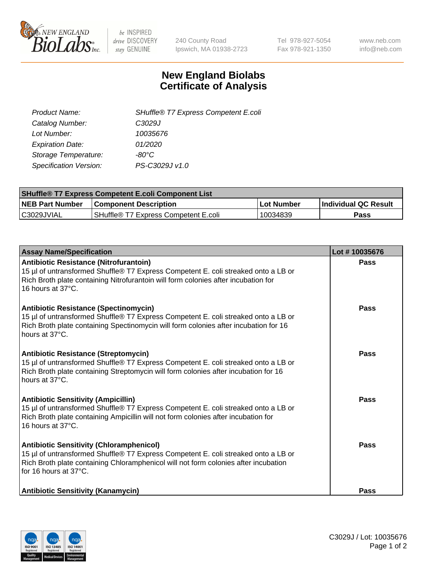

 $be$  INSPIRED drive DISCOVERY stay GENUINE

240 County Road Ipswich, MA 01938-2723 Tel 978-927-5054 Fax 978-921-1350 www.neb.com info@neb.com

## **New England Biolabs Certificate of Analysis**

| SHuffle® T7 Express Competent E.coli | Product Name:                 |
|--------------------------------------|-------------------------------|
| C <sub>3029</sub> J                  | Catalog Number:               |
| 10035676                             | Lot Number:                   |
| 01/2020                              | <b>Expiration Date:</b>       |
| -80°C                                | Storage Temperature:          |
| PS-C3029J v1.0                       | <b>Specification Version:</b> |
|                                      |                               |

| <b>SHuffle<sup>®</sup> T7 Express Competent E.coli Component List</b> |                                         |            |                             |  |
|-----------------------------------------------------------------------|-----------------------------------------|------------|-----------------------------|--|
| <b>NEB Part Number</b>                                                | <b>Component Description</b>            | Lot Number | <b>Individual QC Result</b> |  |
| C3029JVIAL                                                            | l SHuffle® T7 Express Competent E.coli_ | 10034839   | Pass                        |  |

| <b>Assay Name/Specification</b>                                                                                                                                                                                                                       | Lot #10035676 |
|-------------------------------------------------------------------------------------------------------------------------------------------------------------------------------------------------------------------------------------------------------|---------------|
| <b>Antibiotic Resistance (Nitrofurantoin)</b><br>15 µl of untransformed Shuffle® T7 Express Competent E. coli streaked onto a LB or<br>Rich Broth plate containing Nitrofurantoin will form colonies after incubation for<br>16 hours at 37°C.        | Pass          |
| <b>Antibiotic Resistance (Spectinomycin)</b><br>15 µl of untransformed Shuffle® T7 Express Competent E. coli streaked onto a LB or<br>Rich Broth plate containing Spectinomycin will form colonies after incubation for 16<br>hours at 37°C.          | Pass          |
| <b>Antibiotic Resistance (Streptomycin)</b><br>15 µl of untransformed Shuffle® T7 Express Competent E. coli streaked onto a LB or<br>Rich Broth plate containing Streptomycin will form colonies after incubation for 16<br>hours at 37°C.            | <b>Pass</b>   |
| <b>Antibiotic Sensitivity (Ampicillin)</b><br>15 µl of untransformed Shuffle® T7 Express Competent E. coli streaked onto a LB or<br>Rich Broth plate containing Ampicillin will not form colonies after incubation for<br>16 hours at 37°C.           | Pass          |
| <b>Antibiotic Sensitivity (Chloramphenicol)</b><br>15 µl of untransformed Shuffle® T7 Express Competent E. coli streaked onto a LB or<br>Rich Broth plate containing Chloramphenicol will not form colonies after incubation<br>for 16 hours at 37°C. | Pass          |
| <b>Antibiotic Sensitivity (Kanamycin)</b>                                                                                                                                                                                                             | <b>Pass</b>   |